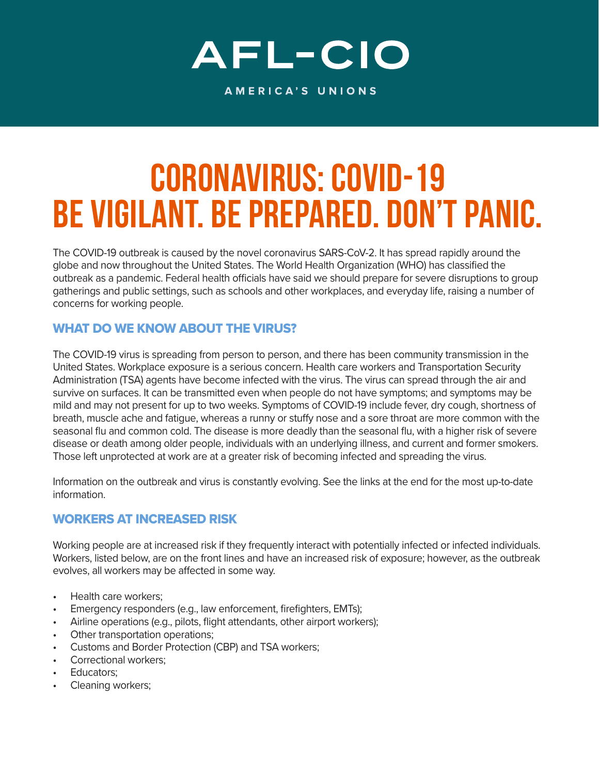# AFL-CIO

AMERICA'S UNIONS

## CORONAVIRUS: COVID-19 Be Vigilant. Be Prepared. Don't Panic.

The COVID-19 outbreak is caused by the novel coronavirus SARS-CoV-2. It has spread rapidly around the globe and now throughout the United States. The World Health Organization (WHO) has classified the outbreak as a pandemic. Federal health officials have said we should prepare for severe disruptions to group gatherings and public settings, such as schools and other workplaces, and everyday life, raising a number of concerns for working people.

### WHAT DO WE KNOW ABOUT THE VIRUS?

The COVID-19 virus is spreading from person to person, and there has been community transmission in the United States. Workplace exposure is a serious concern. Health care workers and Transportation Security Administration (TSA) agents have become infected with the virus. The virus can spread through the air and survive on surfaces. It can be transmitted even when people do not have symptoms; and symptoms may be mild and may not present for up to two weeks. Symptoms of COVID-19 include fever, dry cough, shortness of breath, muscle ache and fatigue, whereas a runny or stuffy nose and a sore throat are more common with the seasonal flu and common cold. The disease is more deadly than the seasonal flu, with a higher risk of severe disease or death among older people, individuals with an underlying illness, and current and former smokers. Those left unprotected at work are at a greater risk of becoming infected and spreading the virus.

Information on the outbreak and virus is constantly evolving. See the links at the end for the most up-to-date information.

### WORKERS AT INCREASED RISK

Working people are at increased risk if they frequently interact with potentially infected or infected individuals. Workers, listed below, are on the front lines and have an increased risk of exposure; however, as the outbreak evolves, all workers may be affected in some way.

- Health care workers;
- Emergency responders (e.g., law enforcement, firefighters, EMTs);
- Airline operations (e.g., pilots, flight attendants, other airport workers);
- Other transportation operations;
- Customs and Border Protection (CBP) and TSA workers;
- Correctional workers;
- Educators:
- Cleaning workers;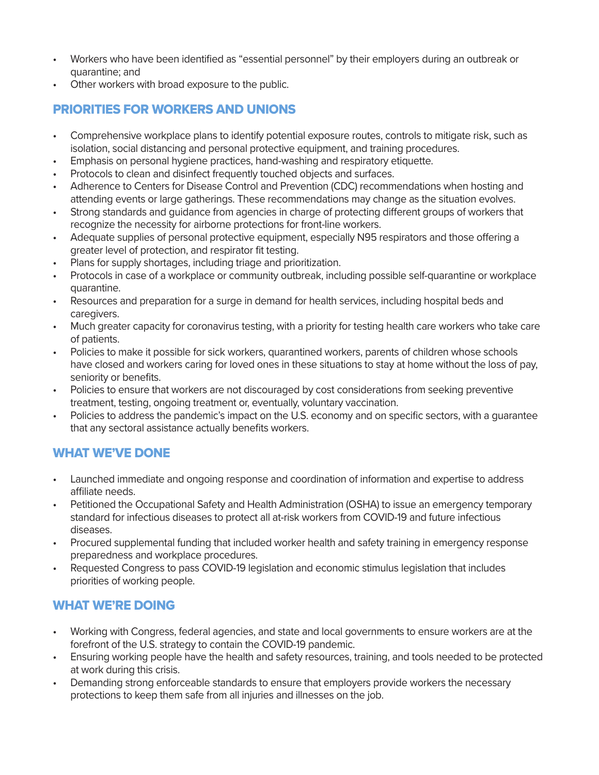- Workers who have been identified as "essential personnel" by their employers during an outbreak or quarantine; and
- Other workers with broad exposure to the public.

#### PRIORITIES FOR WORKERS AND UNIONS

- Comprehensive workplace plans to identify potential exposure routes, controls to mitigate risk, such as isolation, social distancing and personal protective equipment, and training procedures.
- Emphasis on personal hygiene practices, hand-washing and respiratory etiquette.
- Protocols to clean and disinfect frequently touched objects and surfaces.
- Adherence to Centers for Disease Control and Prevention (CDC) recommendations when hosting and attending events or large gatherings. These recommendations may change as the situation evolves.
- Strong standards and guidance from agencies in charge of protecting different groups of workers that recognize the necessity for airborne protections for front-line workers.
- Adequate supplies of personal protective equipment, especially N95 respirators and those offering a greater level of protection, and respirator fit testing.
- Plans for supply shortages, including triage and prioritization.
- Protocols in case of a workplace or community outbreak, including possible self-quarantine or workplace quarantine.
- Resources and preparation for a surge in demand for health services, including hospital beds and caregivers.
- Much greater capacity for coronavirus testing, with a priority for testing health care workers who take care of patients.
- Policies to make it possible for sick workers, quarantined workers, parents of children whose schools have closed and workers caring for loved ones in these situations to stay at home without the loss of pay, seniority or benefits.
- Policies to ensure that workers are not discouraged by cost considerations from seeking preventive treatment, testing, ongoing treatment or, eventually, voluntary vaccination.
- Policies to address the pandemic's impact on the U.S. economy and on specific sectors, with a guarantee that any sectoral assistance actually benefits workers.

#### WHAT WE'VE DONE

- Launched immediate and ongoing response and coordination of information and expertise to address affiliate needs.
- Petitioned the Occupational Safety and Health Administration (OSHA) to issue an emergency temporary standard for infectious diseases to protect all at-risk workers from COVID-19 and future infectious diseases.
- Procured supplemental funding that included worker health and safety training in emergency response preparedness and workplace procedures.
- Requested Congress to pass COVID-19 legislation and economic stimulus legislation that includes priorities of working people.

#### WHAT WE'RE DOING

- Working with Congress, federal agencies, and state and local governments to ensure workers are at the forefront of the U.S. strategy to contain the COVID-19 pandemic.
- Ensuring working people have the health and safety resources, training, and tools needed to be protected at work during this crisis.
- Demanding strong enforceable standards to ensure that employers provide workers the necessary protections to keep them safe from all injuries and illnesses on the job.